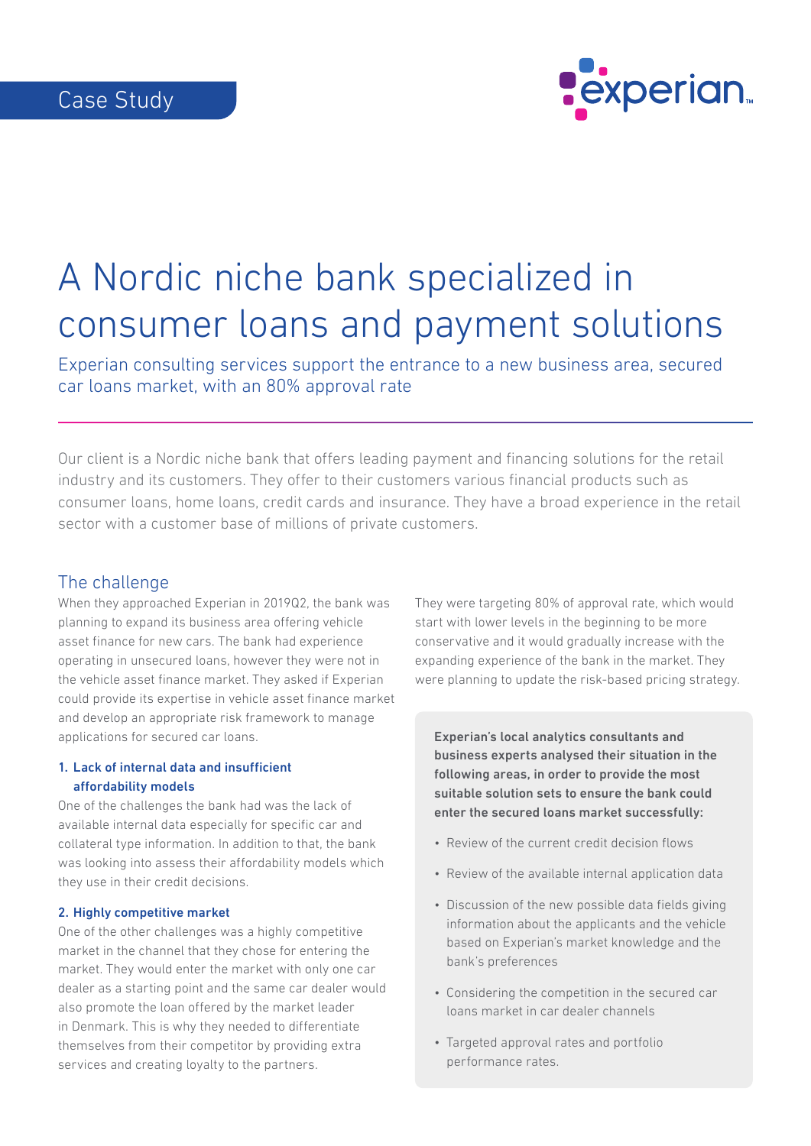

# A Nordic niche bank specialized in consumer loans and payment solutions

Experian consulting services support the entrance to a new business area, secured car loans market, with an 80% approval rate

Our client is a Nordic niche bank that offers leading payment and financing solutions for the retail industry and its customers. They offer to their customers various financial products such as consumer loans, home loans, credit cards and insurance. They have a broad experience in the retail sector with a customer base of millions of private customers.

## The challenge

When they approached Experian in 2019Q2, the bank was planning to expand its business area offering vehicle asset finance for new cars. The bank had experience operating in unsecured loans, however they were not in the vehicle asset finance market. They asked if Experian could provide its expertise in vehicle asset finance market and develop an appropriate risk framework to manage applications for secured car loans.

### 1. Lack of internal data and insufficient affordability models

One of the challenges the bank had was the lack of available internal data especially for specific car and collateral type information. In addition to that, the bank was looking into assess their affordability models which they use in their credit decisions.

#### 2. Highly competitive market

One of the other challenges was a highly competitive market in the channel that they chose for entering the market. They would enter the market with only one car dealer as a starting point and the same car dealer would also promote the loan offered by the market leader in Denmark. This is why they needed to differentiate themselves from their competitor by providing extra services and creating loyalty to the partners.

They were targeting 80% of approval rate, which would start with lower levels in the beginning to be more conservative and it would gradually increase with the expanding experience of the bank in the market. They were planning to update the risk-based pricing strategy.

Experian's local analytics consultants and business experts analysed their situation in the following areas, in order to provide the most suitable solution sets to ensure the bank could enter the secured loans market successfully:

- Review of the current credit decision flows
- Review of the available internal application data
- Discussion of the new possible data fields giving information about the applicants and the vehicle based on Experian's market knowledge and the bank's preferences
- Considering the competition in the secured car loans market in car dealer channels
- Targeted approval rates and portfolio performance rates.